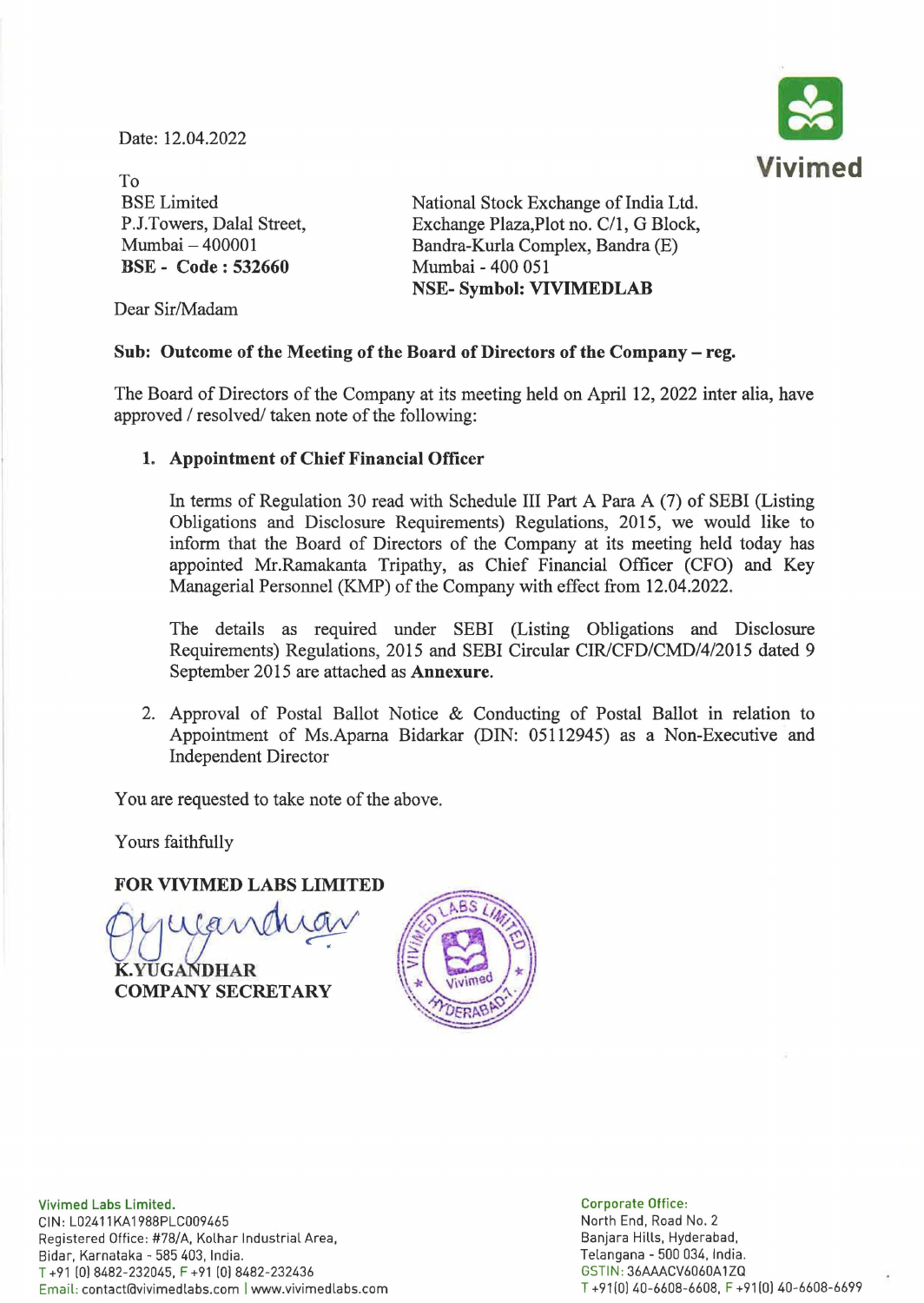Date: 12.04.2022



To BSE Limited P.J.Towers, Dalal Street, Mumbai - 400001 BSE - Code: 532660

National Stock Exchange of India Ltd. Exchange Plaza, Plot no. C/1, G Block, Bandra-Kurla Complex, Bandra (E) Mumbai - 400 051 NSE- Symbol: VIVIMEDLAB

Dear Sir/Madam

## Sub: Outcome of the Meeting of the Board of Directors of the Company - reg.

The Board of Directors of the Company at its meeting held on April 12,2022 inter alia, have approved / resolved/ taken note of the following:

## 1. Appointment of Chief Financial Officer

In terms of Regulation 30 read with Schedule III Part A Para A (7) of SEBI (Listing Obligations and Disclosure Requirements) Regulations, 2015, we would like to inform that the Board of Directors of the Company at its meeting held today has appointed Mr.Ramakanta Tripathy, as Chief Financial Officer (CFO) and Key Managerial Personnel (KMP) of the Company with effect from 12.04.2022.

The details as required under SEBI (Listing Obligations and Disclosure Requirements) Regulations, 2015 and SEBI Circular *CIRlCFD/CMD/4/2015* dated 9 September 2015 are attached as Annexure.

2. Approval of Postal Ballot Notice & Conducting of Postal Ballot in relation to Appointment of Ms.Apama Bidarkar (DIN: 05112945) as a Non-Executive and Independent Director

You are requested to take note of the above.

Yours faithfully

FOR VIVIMED LABS LIMITED<br>Matat*e* an Macav K.YUGANDHAR COMPANY SECRETARY



Vivimed Labs Limited. CIN: L02411KA1988PLC009465 Registered Office: #78/A, Kolhar Industrial Area, Bidar, Karnataka - 585 403, India. T +91 (0) 8482-232045, F +91 (0) 8482-232436 Email: contact@vivimedlabs.com | www.vivimedlabs.com

Corporate Office: North End, Road No.2 Banjara Hills, Hyderabad, Telangana - 500 034, India. GSTIN : 36AAACV6060A1ZQ T +91(01 40-6608-6608, F +91 (0) 40-6608-6699